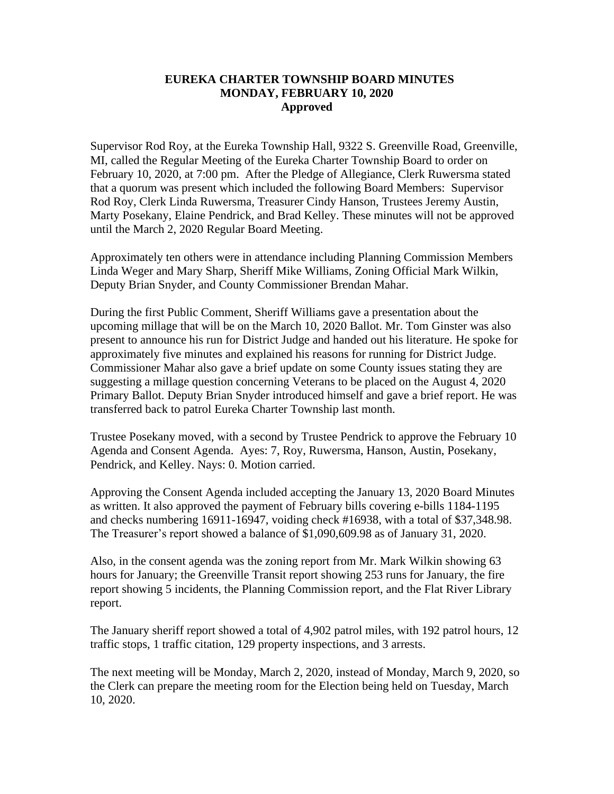## **EUREKA CHARTER TOWNSHIP BOARD MINUTES MONDAY, FEBRUARY 10, 2020 Approved**

Supervisor Rod Roy, at the Eureka Township Hall, 9322 S. Greenville Road, Greenville, MI, called the Regular Meeting of the Eureka Charter Township Board to order on February 10, 2020, at 7:00 pm. After the Pledge of Allegiance, Clerk Ruwersma stated that a quorum was present which included the following Board Members: Supervisor Rod Roy, Clerk Linda Ruwersma, Treasurer Cindy Hanson, Trustees Jeremy Austin, Marty Posekany, Elaine Pendrick, and Brad Kelley. These minutes will not be approved until the March 2, 2020 Regular Board Meeting.

Approximately ten others were in attendance including Planning Commission Members Linda Weger and Mary Sharp, Sheriff Mike Williams, Zoning Official Mark Wilkin, Deputy Brian Snyder, and County Commissioner Brendan Mahar.

During the first Public Comment, Sheriff Williams gave a presentation about the upcoming millage that will be on the March 10, 2020 Ballot. Mr. Tom Ginster was also present to announce his run for District Judge and handed out his literature. He spoke for approximately five minutes and explained his reasons for running for District Judge. Commissioner Mahar also gave a brief update on some County issues stating they are suggesting a millage question concerning Veterans to be placed on the August 4, 2020 Primary Ballot. Deputy Brian Snyder introduced himself and gave a brief report. He was transferred back to patrol Eureka Charter Township last month.

Trustee Posekany moved, with a second by Trustee Pendrick to approve the February 10 Agenda and Consent Agenda. Ayes: 7, Roy, Ruwersma, Hanson, Austin, Posekany, Pendrick, and Kelley. Nays: 0. Motion carried.

Approving the Consent Agenda included accepting the January 13, 2020 Board Minutes as written. It also approved the payment of February bills covering e-bills 1184-1195 and checks numbering 16911-16947, voiding check #16938, with a total of \$37,348.98. The Treasurer's report showed a balance of \$1,090,609.98 as of January 31, 2020.

Also, in the consent agenda was the zoning report from Mr. Mark Wilkin showing 63 hours for January; the Greenville Transit report showing 253 runs for January, the fire report showing 5 incidents, the Planning Commission report, and the Flat River Library report.

The January sheriff report showed a total of 4,902 patrol miles, with 192 patrol hours, 12 traffic stops, 1 traffic citation, 129 property inspections, and 3 arrests.

The next meeting will be Monday, March 2, 2020, instead of Monday, March 9, 2020, so the Clerk can prepare the meeting room for the Election being held on Tuesday, March 10, 2020.